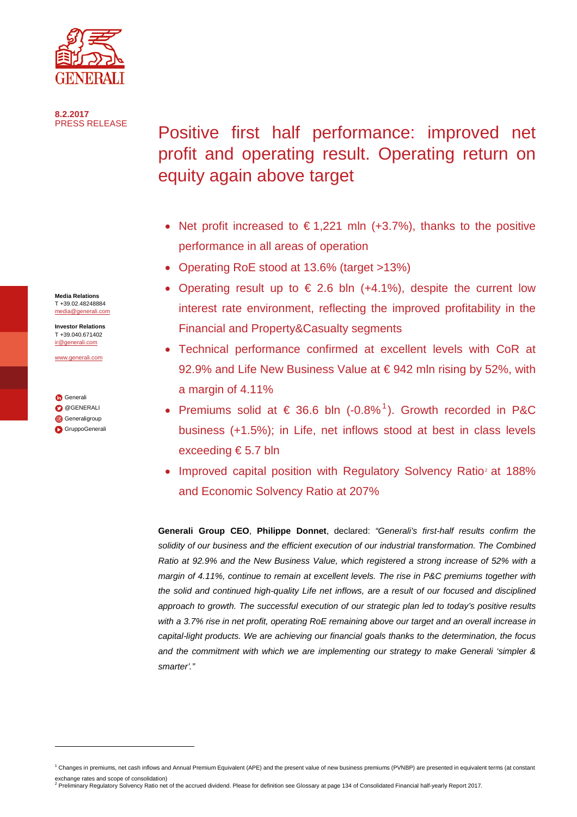

**8.2.2017**

# Positive first half performance: improved net profit and operating result. Operating return on equity again above target

- Net profit increased to  $\epsilon$ 1,221 mln (+3.7%), thanks to the positive performance in all areas of operation
- Operating RoE stood at 13.6% (target >13%)
- Operating result up to  $\epsilon$  2.6 bln (+4.1%), despite the current low interest rate environment, reflecting the improved profitability in the Financial and Property&Casualty segments
- Technical performance confirmed at excellent levels with CoR at 92.9% and Life New Business Value at €942 mln rising by 52%, with a margin of 4.11%
- Premiums solid at  $\epsilon$  36.6 bln (-0.8%<sup>[1](#page-0-0)</sup>). Growth recorded in P&C business (+1.5%); in Life, net inflows stood at best in class levels exceeding € 5.7 bln
- Improved capital position with Regulatory Solvency Ratio<sup>[2](#page-0-1)</sup> at 188% and Economic Solvency Ratio at 207%

**Generali Group CEO**, **Philippe Donnet**, declared: *"Generali's first-half results confirm the solidity of our business and the efficient execution of our industrial transformation. The Combined Ratio at 92.9% and the New Business Value, which registered a strong increase of 52% with a margin of 4.11%, continue to remain at excellent levels. The rise in P&C premiums together with the solid and continued high-quality Life net inflows, are a result of our focused and disciplined approach to growth. The successful execution of our strategic plan led to today's positive results with a 3.7% rise in net profit, operating RoE remaining above our target and an overall increase in capital-light products. We are achieving our financial goals thanks to the determination, the focus and the commitment with which we are implementing our strategy to make Generali 'simpler & smarter'."*

**Media Relations** T +39.02.48248884 [media@generali.com](mailto:media@generali.com)

**Investor Relations** T +39.040.671402 [ir@generali.com](mailto:ir@generali.com)

[www.generali.com](http://www.generali.com/)

**G**[Generali](http://www.linkedin.com/company-beta/163967/) **[@GENERALI](http://www.twitter.com/GENERALI) G**[Generaligroup](http://www.instagram.com/generaligroup/) **[GruppoGenerali](http://www.youtube.com/user/GruppoGenerali)** 

j

<span id="page-0-0"></span><sup>&</sup>lt;sup>1</sup> Changes in premiums, net cash inflows and Annual Premium Equivalent (APE) and the present value of new business premiums (PVNBP) are presented in equivalent terms (at constant

<span id="page-0-1"></span>exchange rates and scope of consolidation)<br><sup>2</sup> Preliminary Regulatory Solvency Ratio net of the accrued dividend. Please for definition see Glossary at page 134 of Consolidated Financial half-yearly Report 2017.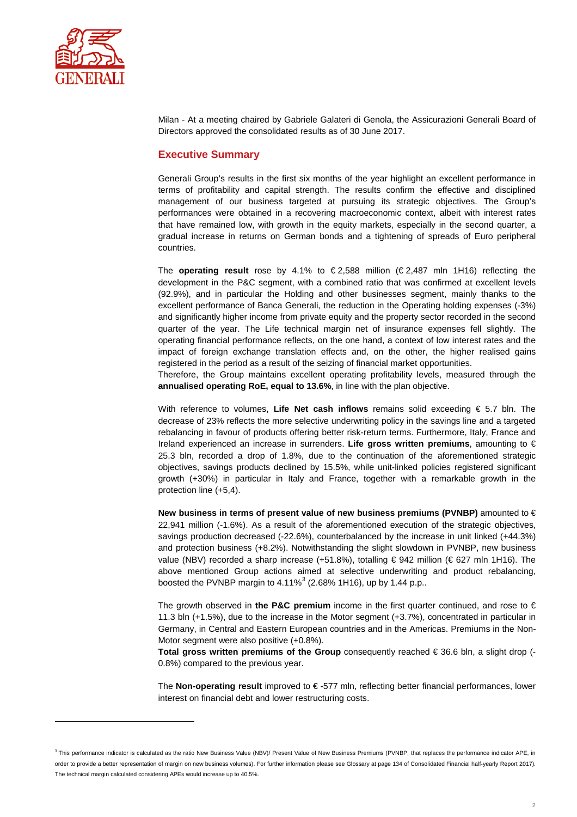

j

Milan - At a meeting chaired by Gabriele Galateri di Genola, the Assicurazioni Generali Board of Directors approved the consolidated results as of 30 June 2017.

#### **Executive Summary**

Generali Group's results in the first six months of the year highlight an excellent performance in terms of profitability and capital strength. The results confirm the effective and disciplined management of our business targeted at pursuing its strategic objectives. The Group's performances were obtained in a recovering macroeconomic context, albeit with interest rates that have remained low, with growth in the equity markets, especially in the second quarter, a gradual increase in returns on German bonds and a tightening of spreads of Euro peripheral countries.

The **operating result** rose by 4.1% to € 2,588 million (€ 2,487 mln 1H16) reflecting the development in the P&C segment, with a combined ratio that was confirmed at excellent levels (92.9%), and in particular the Holding and other businesses segment, mainly thanks to the excellent performance of Banca Generali, the reduction in the Operating holding expenses (-3%) and significantly higher income from private equity and the property sector recorded in the second quarter of the year. The Life technical margin net of insurance expenses fell slightly. The operating financial performance reflects, on the one hand, a context of low interest rates and the impact of foreign exchange translation effects and, on the other, the higher realised gains registered in the period as a result of the seizing of financial market opportunities.

Therefore, the Group maintains excellent operating profitability levels, measured through the **annualised operating RoE, equal to 13.6%**, in line with the plan objective.

With reference to volumes, **Life Net cash inflows** remains solid exceeding € 5.7 bln. The decrease of 23% reflects the more selective underwriting policy in the savings line and a targeted rebalancing in favour of products offering better risk-return terms. Furthermore, Italy, France and Ireland experienced an increase in surrenders. **Life gross written premiums**, amounting to € 25.3 bln, recorded a drop of 1.8%, due to the continuation of the aforementioned strategic objectives, savings products declined by 15.5%, while unit-linked policies registered significant growth (+30%) in particular in Italy and France, together with a remarkable growth in the protection line (+5,4).

**New business in terms of present value of new business premiums (PVNBP)** amounted to € 22,941 million (-1.6%). As a result of the aforementioned execution of the strategic objectives, savings production decreased (-22.6%), counterbalanced by the increase in unit linked (+44.3%) and protection business (+8.2%). Notwithstanding the slight slowdown in PVNBP, new business value (NBV) recorded a sharp increase (+51.8%), totalling € 942 million (€ 627 mln 1H16). The above mentioned Group actions aimed at selective underwriting and product rebalancing, boosted the PVNBP margin to  $4.11\%$ <sup>[3](#page-1-0)</sup> (2.68% 1H16), up by 1.44 p.p..

The growth observed in **the P&C premium** income in the first quarter continued, and rose to € 11.3 bln (+1.5%), due to the increase in the Motor segment (+3.7%), concentrated in particular in Germany, in Central and Eastern European countries and in the Americas. Premiums in the Non-Motor segment were also positive (+0.8%).

**Total gross written premiums of the Group** consequently reached € 36.6 bln, a slight drop (- 0.8%) compared to the previous year.

The **Non-operating result** improved to € -577 mln, reflecting better financial performances, lower interest on financial debt and lower restructuring costs.

<span id="page-1-0"></span><sup>&</sup>lt;sup>3</sup> This performance indicator is calculated as the ratio New Business Value (NBV)/ Present Value of New Business Premiums (PVNBP, that replaces the performance indicator APE, in order to provide a better representation of margin on new business volumes). For further information please see Glossary at page 134 of Consolidated Financial half-yearly Report 2017). The technical margin calculated considering APEs would increase up to 40.5%.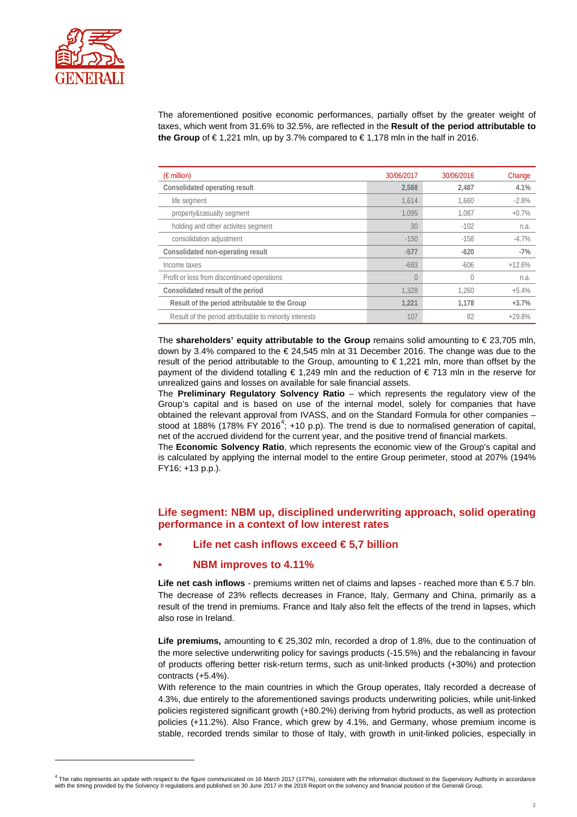

j

The aforementioned positive economic performances, partially offset by the greater weight of taxes, which went from 31.6% to 32.5%, are reflected in the **Result of the period attributable to the Group** of €1,221 mln, up by 3.7% compared to €1,178 mln in the half in 2016.

| $(\epsilon$ million)                                    | 30/06/2017 | 30/06/2016 | Change   |
|---------------------------------------------------------|------------|------------|----------|
| Consolidated operating result                           | 2.588      | 2.487      | 4.1%     |
| life segment                                            | 1.614      | 1.660      | $-2.8%$  |
| property&casualty segment                               | 1.095      | 1.087      | $+0.7%$  |
| holding and other activites segment                     | 30         | $-102$     | n.a.     |
| consolidation adjustment                                | $-150$     | $-158$     | $-4.7%$  |
| Consolidated non-operating result                       | $-577$     | $-620$     | $-7%$    |
| Income taxes                                            | $-683$     | $-606$     | $+12.6%$ |
| Profit or loss from discontinued operations             | 0          | 0          | n.a.     |
| Consolidated result of the period                       | 1.328      | 1.260      | $+5.4%$  |
| Result of the period attributable to the Group          | 1.221      | 1.178      | $+3.7%$  |
| Result of the period attributable to minority interests | 107        | 82         | $+29.8%$ |

The **shareholders' equity attributable to the Group** remains solid amounting to € 23,705 mln, down by 3.4% compared to the  $\epsilon$  24,545 mln at 31 December 2016. The change was due to the result of the period attributable to the Group, amounting to € 1,221 mln, more than offset by the payment of the dividend totalling € 1,249 mln and the reduction of € 713 mln in the reserve for unrealized gains and losses on available for sale financial assets.

The **Preliminary Regulatory Solvency Ratio** – which represents the regulatory view of the Group's capital and is based on use of the internal model, solely for companies that have obtained the relevant approval from IVASS, and on the Standard Formula for other companies – stood at 188% (178% FY 2016<sup>[4](#page-2-0)</sup>; +10 p.p). The trend is due to normalised generation of capital, net of the accrued dividend for the current year, and the positive trend of financial markets.

The **Economic Solvency Ratio**, which represents the economic view of the Group's capital and is calculated by applying the internal model to the entire Group perimeter, stood at 207% (194% FY16; +13 p.p.).

## **Life segment: NBM up, disciplined underwriting approach, solid operating performance in a context of low interest rates**

**• Life net cash inflows exceed € 5,7 billion**

#### **• NBM improves to 4.11%**

Life net cash inflows - premiums written net of claims and lapses - reached more than €5.7 bln. The decrease of 23% reflects decreases in France, Italy, Germany and China, primarily as a result of the trend in premiums. France and Italy also felt the effects of the trend in lapses, which also rose in Ireland.

**Life premiums,** amounting to € 25,302 mln, recorded a drop of 1.8%, due to the continuation of the more selective underwriting policy for savings products (-15.5%) and the rebalancing in favour of products offering better risk-return terms, such as unit-linked products (+30%) and protection contracts (+5.4%).

With reference to the main countries in which the Group operates, Italy recorded a decrease of 4.3%, due entirely to the aforementioned savings products underwriting policies, while unit-linked policies registered significant growth (+80.2%) deriving from hybrid products, as well as protection policies (+11.2%). Also France, which grew by 4.1%, and Germany, whose premium income is stable, recorded trends similar to those of Italy, with growth in unit-linked policies, especially in

<span id="page-2-0"></span> $^4$  The ratio represents an update with respect to the figure communicated on 16 March 2017 (177%), consistent with the information disclosed to the Supervisory Authority in accordance with the timing provided by the Solvency II regulations and published on 30 June 2017 in the 2016 Report on the solvency and financial position of the Generali Group.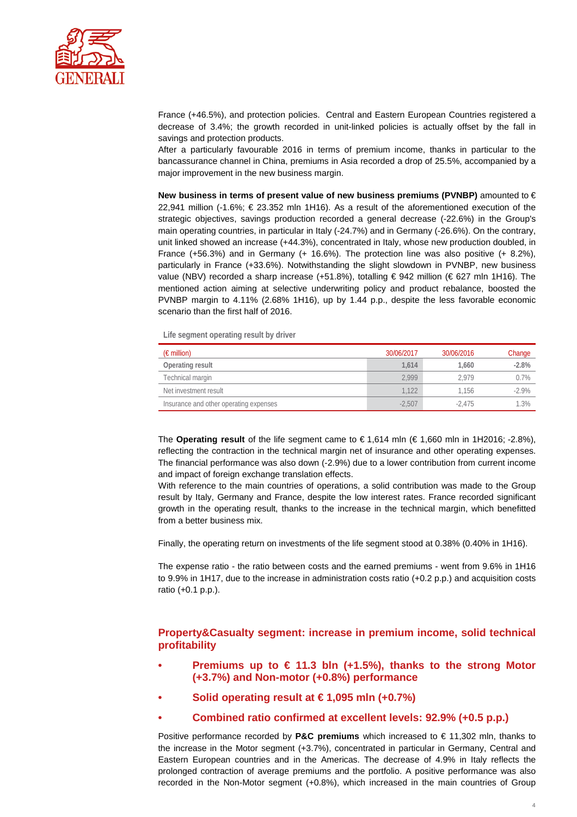

France (+46.5%), and protection policies. Central and Eastern European Countries registered a decrease of 3.4%; the growth recorded in unit-linked policies is actually offset by the fall in savings and protection products.

After a particularly favourable 2016 in terms of premium income, thanks in particular to the bancassurance channel in China, premiums in Asia recorded a drop of 25.5%, accompanied by a major improvement in the new business margin.

**New business in terms of present value of new business premiums (PVNBP)** amounted to € 22,941 million (-1.6%; € 23.352 mln 1H16). As a result of the aforementioned execution of the strategic objectives, savings production recorded a general decrease (-22.6%) in the Group's main operating countries, in particular in Italy (-24.7%) and in Germany (-26.6%). On the contrary, unit linked showed an increase (+44.3%), concentrated in Italy, whose new production doubled, in France (+56.3%) and in Germany (+ 16.6%). The protection line was also positive (+ 8.2%), particularly in France (+33.6%). Notwithstanding the slight slowdown in PVNBP, new business value (NBV) recorded a sharp increase (+51.8%), totalling € 942 million (€ 627 mln 1H16). The mentioned action aiming at selective underwriting policy and product rebalance, boosted the PVNBP margin to 4.11% (2.68% 1H16), up by 1.44 p.p., despite the less favorable economic scenario than the first half of 2016.

**Life segment operating result by driver**

| $(\epsilon$ million)                   | 30/06/2017 | 30/06/2016 | Change  |
|----------------------------------------|------------|------------|---------|
| Operating result                       | 1.614      | 1.660      | $-2.8%$ |
| Technical margin                       | 2.999      | 2.979      | 0.7%    |
| Net investment result                  | 1.122      | 1.156      | $-2.9%$ |
| Insurance and other operating expenses | $-2.507$   | $-2.475$   | 1.3%    |

The **Operating result** of the life segment came to € 1,614 mln (€ 1,660 mln in 1H2016; -2.8%), reflecting the contraction in the technical margin net of insurance and other operating expenses. The financial performance was also down (-2.9%) due to a lower contribution from current income and impact of foreign exchange translation effects.

With reference to the main countries of operations, a solid contribution was made to the Group result by Italy, Germany and France, despite the low interest rates. France recorded significant growth in the operating result, thanks to the increase in the technical margin, which benefitted from a better business mix.

Finally, the operating return on investments of the life segment stood at 0.38% (0.40% in 1H16).

The expense ratio - the ratio between costs and the earned premiums - went from 9.6% in 1H16 to 9.9% in 1H17, due to the increase in administration costs ratio (+0.2 p.p.) and acquisition costs ratio (+0.1 p.p.).

## **Property&Casualty segment: increase in premium income, solid technical profitability**

- **• Premiums up to € 11.3 bln (+1.5%), thanks to the strong Motor (+3.7%) and Non-motor (+0.8%) performance**
- **• Solid operating result at € 1,095 mln (+0.7%)**
- **• Combined ratio confirmed at excellent levels: 92.9% (+0.5 p.p.)**

Positive performance recorded by **P&C premiums** which increased to € 11,302 mln, thanks to the increase in the Motor segment (+3.7%), concentrated in particular in Germany, Central and Eastern European countries and in the Americas. The decrease of 4.9% in Italy reflects the prolonged contraction of average premiums and the portfolio. A positive performance was also recorded in the Non-Motor segment (+0.8%), which increased in the main countries of Group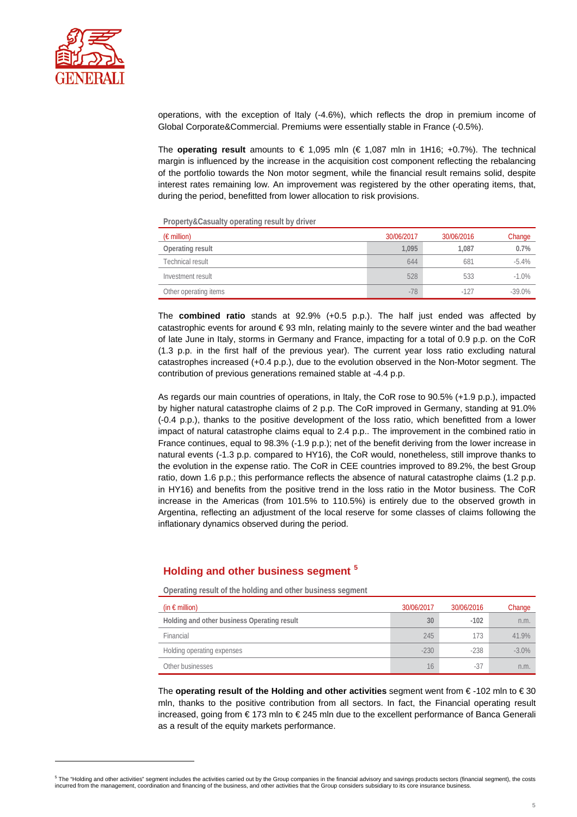

j

operations, with the exception of Italy (-4.6%), which reflects the drop in premium income of Global Corporate&Commercial. Premiums were essentially stable in France (-0.5%).

The **operating result** amounts to  $\in$  1,095 mln ( $\in$  1,087 mln in 1H16; +0.7%). The technical margin is influenced by the increase in the acquisition cost component reflecting the rebalancing of the portfolio towards the Non motor segment, while the financial result remains solid, despite interest rates remaining low. An improvement was registered by the other operating items, that, during the period, benefitted from lower allocation to risk provisions.

**Property&Casualty operating result by driver**

| $(\epsilon$ million)  | 30/06/2017 | 30/06/2016 | Change   |
|-----------------------|------------|------------|----------|
| Operating result      | 1.095      | 1.087      | 0.7%     |
| Technical result      | 644        | 681        | $-5.4\%$ |
| Investment result     | 528        | 533        | $-1.0%$  |
| Other operating items | $-78$      | $-127$     | $-39.0%$ |

The **combined ratio** stands at 92.9% (+0.5 p.p.). The half just ended was affected by catastrophic events for around € 93 mln, relating mainly to the severe winter and the bad weather of late June in Italy, storms in Germany and France, impacting for a total of 0.9 p.p. on the CoR (1.3 p.p. in the first half of the previous year). The current year loss ratio excluding natural catastrophes increased (+0.4 p.p.), due to the evolution observed in the Non-Motor segment. The contribution of previous generations remained stable at -4.4 p.p.

As regards our main countries of operations, in Italy, the CoR rose to 90.5% (+1.9 p.p.), impacted by higher natural catastrophe claims of 2 p.p. The CoR improved in Germany, standing at 91.0% (-0.4 p.p.), thanks to the positive development of the loss ratio, which benefitted from a lower impact of natural catastrophe claims equal to 2.4 p.p.. The improvement in the combined ratio in France continues, equal to 98.3% (-1.9 p.p.); net of the benefit deriving from the lower increase in natural events (-1.3 p.p. compared to HY16), the CoR would, nonetheless, still improve thanks to the evolution in the expense ratio. The CoR in CEE countries improved to 89.2%, the best Group ratio, down 1.6 p.p.; this performance reflects the absence of natural catastrophe claims (1.2 p.p. in HY16) and benefits from the positive trend in the loss ratio in the Motor business. The CoR increase in the Americas (from 101.5% to 110.5%) is entirely due to the observed growth in Argentina, reflecting an adjustment of the local reserve for some classes of claims following the inflationary dynamics observed during the period.

### **Holding and other business segment [5](#page-4-0)**

**Operating result of the holding and other business segment**

| (in $\epsilon$ million)                     | 30/06/2017 | 30/06/2016 | Change   |
|---------------------------------------------|------------|------------|----------|
| Holding and other business Operating result | 30         | $-102$     | n.m.     |
| Financial                                   | 245        | 173        | 41.9%    |
| Holding operating expenses                  | $-230$     | $-238$     | $-3.0\%$ |
| Other businesses                            | 16         | -37        | n.m.     |

The **operating result of the Holding and other activities** segment went from € -102 mln to € 30 mln, thanks to the positive contribution from all sectors. In fact, the Financial operating result increased, going from € 173 mln to € 245 mln due to the excellent performance of Banca Generali as a result of the equity markets performance.

<span id="page-4-0"></span><sup>&</sup>lt;sup>5</sup> The "Holding and other activities" segment includes the activities carried out by the Group companies in the financial advisory and savings products sectors (financial segment), the costs incurred from the management, coordination and financing of the business, and other activities that the Group considers subsidiary to its core insurance business.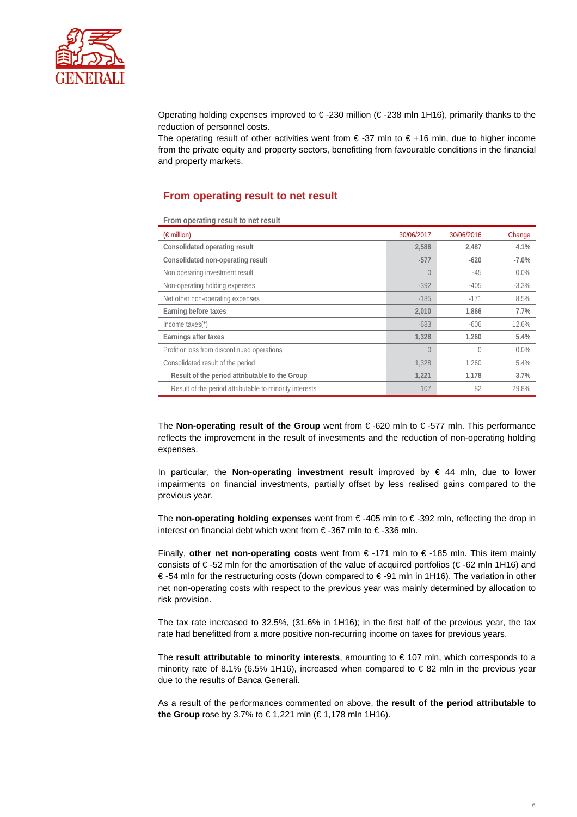

Operating holding expenses improved to € -230 million (€ -238 mln 1H16), primarily thanks to the reduction of personnel costs.

The operating result of other activities went from  $\epsilon$ -37 mln to  $\epsilon$ +16 mln, due to higher income from the private equity and property sectors, benefitting from favourable conditions in the financial and property markets.

### **From operating result to net result**

**From operating result to net result**

| $(\epsilon$ million)                                    | 30/06/2017     | 30/06/2016 | Change  |
|---------------------------------------------------------|----------------|------------|---------|
| Consolidated operating result                           | 2,588          | 2,487      | 4.1%    |
| Consolidated non-operating result                       | $-577$         | $-620$     | $-7.0%$ |
| Non operating investment result                         | $\overline{0}$ | $-45$      | 0.0%    |
| Non-operating holding expenses                          | $-392$         | $-405$     | $-3.3%$ |
| Net other non-operating expenses                        | $-185$         | $-171$     | 8.5%    |
| Earning before taxes                                    | 2.010          | 1.866      | 7.7%    |
| Income taxes $(*)$                                      | $-683$         | $-606$     | 12.6%   |
| Earnings after taxes                                    | 1,328          | 1.260      | 5.4%    |
| Profit or loss from discontinued operations             | $\bigcap$      | 0          | 0.0%    |
| Consolidated result of the period                       | 1.328          | 1.260      | 5.4%    |
| Result of the period attributable to the Group          | 1,221          | 1,178      | 3.7%    |
| Result of the period attributable to minority interests | 107            | 82         | 29.8%   |

The **Non-operating result of the Group** went from € -620 mln to € -577 mln. This performance reflects the improvement in the result of investments and the reduction of non-operating holding expenses.

In particular, the **Non-operating investment result** improved by € 44 mln, due to lower impairments on financial investments, partially offset by less realised gains compared to the previous year.

The **non-operating holding expenses** went from € -405 mln to € -392 mln, reflecting the drop in interest on financial debt which went from € -367 mln to € -336 mln.

Finally, **other net non-operating costs** went from € -171 mln to € -185 mln. This item mainly consists of € -52 mln for the amortisation of the value of acquired portfolios (€ -62 mln 1H16) and € -54 mln for the restructuring costs (down compared to € -91 mln in 1H16). The variation in other net non-operating costs with respect to the previous year was mainly determined by allocation to risk provision.

The tax rate increased to 32.5%, (31.6% in 1H16); in the first half of the previous year, the tax rate had benefitted from a more positive non-recurring income on taxes for previous years.

The **result attributable to minority interests**, amounting to € 107 mln, which corresponds to a minority rate of 8.1% (6.5% 1H16), increased when compared to  $\epsilon$  82 mln in the previous year due to the results of Banca Generali.

As a result of the performances commented on above, the **result of the period attributable to the Group** rose by 3.7% to € 1,221 mln (€ 1,178 mln 1H16).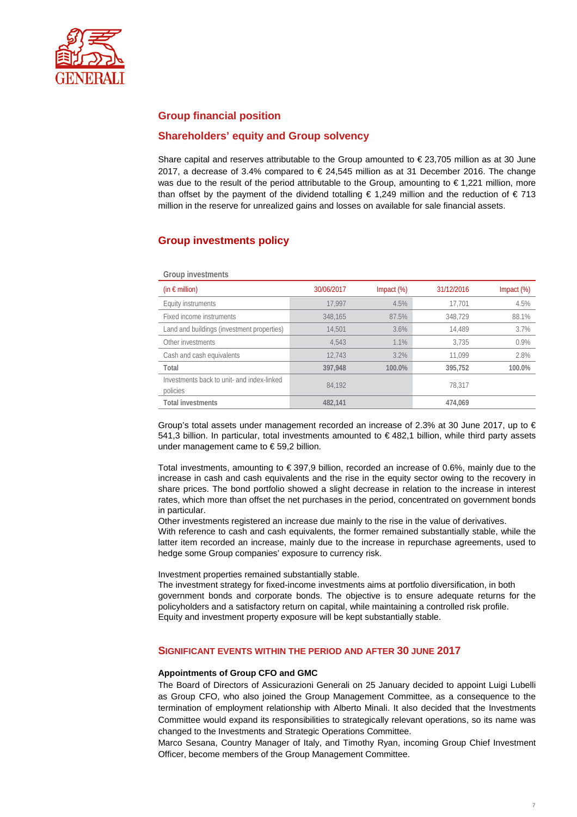

## **Group financial position**

### **Shareholders' equity and Group solvency**

Share capital and reserves attributable to the Group amounted to  $\epsilon$  23,705 million as at 30 June 2017, a decrease of 3.4% compared to  $\in$  24,545 million as at 31 December 2016. The change was due to the result of the period attributable to the Group, amounting to €1,221 million, more than offset by the payment of the dividend totalling  $\epsilon$  1,249 million and the reduction of  $\epsilon$  713 million in the reserve for unrealized gains and losses on available for sale financial assets.

## **Group investments policy**

| Group investments                                      |            |               |            |                  |  |
|--------------------------------------------------------|------------|---------------|------------|------------------|--|
| (in $\epsilon$ million)                                | 30/06/2017 | Impact $(\%)$ | 31/12/2016 | $Im$ pact $(\%)$ |  |
| Equity instruments                                     | 17.997     | 4.5%          | 17.701     | 4.5%             |  |
| Fixed income instruments                               | 348.165    | 87.5%         | 348.729    | 88.1%            |  |
| Land and buildings (investment properties)             | 14,501     | 3.6%          | 14.489     | 3.7%             |  |
| Other investments                                      | 4.543      | 1.1%          | 3.735      | 0.9%             |  |
| Cash and cash equivalents                              | 12.743     | 3.2%          | 11.099     | 2.8%             |  |
| Total                                                  | 397.948    | 100.0%        | 395,752    | 100.0%           |  |
| Investments back to unit- and index-linked<br>policies | 84.192     |               | 78,317     |                  |  |
| <b>Total investments</b>                               | 482,141    |               | 474.069    |                  |  |

Group's total assets under management recorded an increase of 2.3% at 30 June 2017, up to  $\in$ 541,3 billion. In particular, total investments amounted to € 482,1 billion, while third party assets under management came to € 59,2 billion.

Total investments, amounting to € 397,9 billion, recorded an increase of 0.6%, mainly due to the increase in cash and cash equivalents and the rise in the equity sector owing to the recovery in share prices. The bond portfolio showed a slight decrease in relation to the increase in interest rates, which more than offset the net purchases in the period, concentrated on government bonds in particular.

Other investments registered an increase due mainly to the rise in the value of derivatives.

With reference to cash and cash equivalents, the former remained substantially stable, while the latter item recorded an increase, mainly due to the increase in repurchase agreements, used to hedge some Group companies' exposure to currency risk.

Investment properties remained substantially stable.

The investment strategy for fixed-income investments aims at portfolio diversification, in both government bonds and corporate bonds. The objective is to ensure adequate returns for the policyholders and a satisfactory return on capital, while maintaining a controlled risk profile. Equity and investment property exposure will be kept substantially stable.

#### **SIGNIFICANT EVENTS WITHIN THE PERIOD AND AFTER 30 JUNE 2017**

#### **Appointments of Group CFO and GMC**

The Board of Directors of Assicurazioni Generali on 25 January decided to appoint Luigi Lubelli as Group CFO, who also joined the Group Management Committee, as a consequence to the termination of employment relationship with Alberto Minali. It also decided that the Investments Committee would expand its responsibilities to strategically relevant operations, so its name was changed to the Investments and Strategic Operations Committee.

Marco Sesana, Country Manager of Italy, and Timothy Ryan, incoming Group Chief Investment Officer, become members of the Group Management Committee.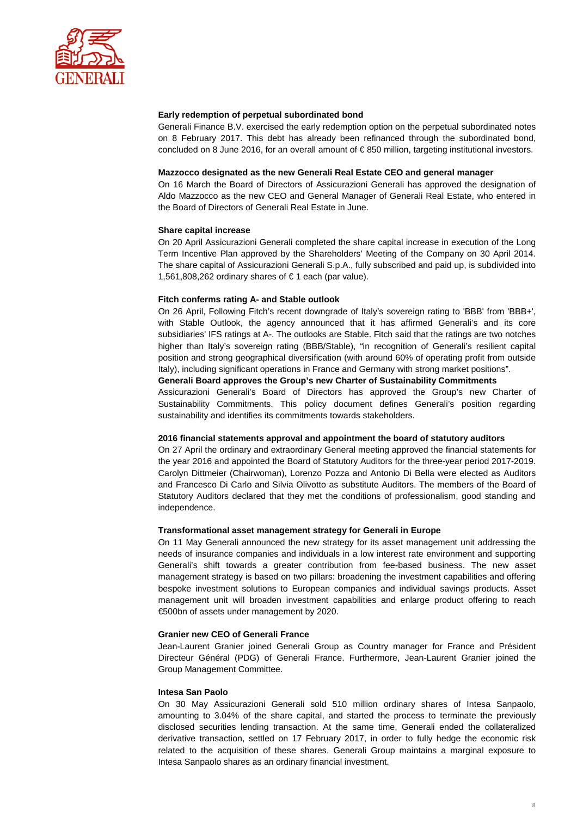

#### **Early redemption of perpetual subordinated bond**

Generali Finance B.V. exercised the early redemption option on the perpetual subordinated notes on 8 February 2017. This debt has already been refinanced through the subordinated bond, concluded on 8 June 2016, for an overall amount of € 850 million, targeting institutional investors.

#### **Mazzocco designated as the new Generali Real Estate CEO and general manager**

On 16 March the Board of Directors of Assicurazioni Generali has approved the designation of Aldo Mazzocco as the new CEO and General Manager of Generali Real Estate, who entered in the Board of Directors of Generali Real Estate in June.

#### **Share capital increase**

On 20 April Assicurazioni Generali completed the share capital increase in execution of the Long Term Incentive Plan approved by the Shareholders' Meeting of the Company on 30 April 2014. The share capital of Assicurazioni Generali S.p.A., fully subscribed and paid up, is subdivided into 1,561,808,262 ordinary shares of € 1 each (par value).

#### **Fitch conferms rating A- and Stable outlook**

On 26 April, Following Fitch's recent downgrade of Italy's sovereign rating to 'BBB' from 'BBB+', with Stable Outlook, the agency announced that it has affirmed Generali's and its core subsidiaries' IFS ratings at A-. The outlooks are Stable. Fitch said that the ratings are two notches higher than Italy's sovereign rating (BBB/Stable), "in recognition of Generali's resilient capital position and strong geographical diversification (with around 60% of operating profit from outside Italy), including significant operations in France and Germany with strong market positions".

#### **Generali Board approves the Group's new Charter of Sustainability Commitments**

Assicurazioni Generali's Board of Directors has approved the Group's new Charter of Sustainability Commitments. This policy document defines Generali's position regarding sustainability and identifies its commitments towards stakeholders.

#### **2016 financial statements approval and appointment the board of statutory auditors**

On 27 April the ordinary and extraordinary General meeting approved the financial statements for the year 2016 and appointed the Board of Statutory Auditors for the three-year period 2017-2019. Carolyn Dittmeier (Chairwoman), Lorenzo Pozza and Antonio Di Bella were elected as Auditors and Francesco Di Carlo and Silvia Olivotto as substitute Auditors. The members of the Board of Statutory Auditors declared that they met the conditions of professionalism, good standing and independence.

#### **Transformational asset management strategy for Generali in Europe**

On 11 May Generali announced the new strategy for its asset management unit addressing the needs of insurance companies and individuals in a low interest rate environment and supporting Generali's shift towards a greater contribution from fee-based business. The new asset management strategy is based on two pillars: broadening the investment capabilities and offering bespoke investment solutions to European companies and individual savings products. Asset management unit will broaden investment capabilities and enlarge product offering to reach €500bn of assets under management by 2020.

#### **Granier new CEO of Generali France**

Jean-Laurent Granier joined Generali Group as Country manager for France and Président Directeur Général (PDG) of Generali France. Furthermore, Jean-Laurent Granier joined the Group Management Committee.

#### **Intesa San Paolo**

On 30 May Assicurazioni Generali sold 510 million ordinary shares of Intesa Sanpaolo, amounting to 3.04% of the share capital, and started the process to terminate the previously disclosed securities lending transaction. At the same time, Generali ended the collateralized derivative transaction, settled on 17 February 2017, in order to fully hedge the economic risk related to the acquisition of these shares. Generali Group maintains a marginal exposure to Intesa Sanpaolo shares as an ordinary financial investment.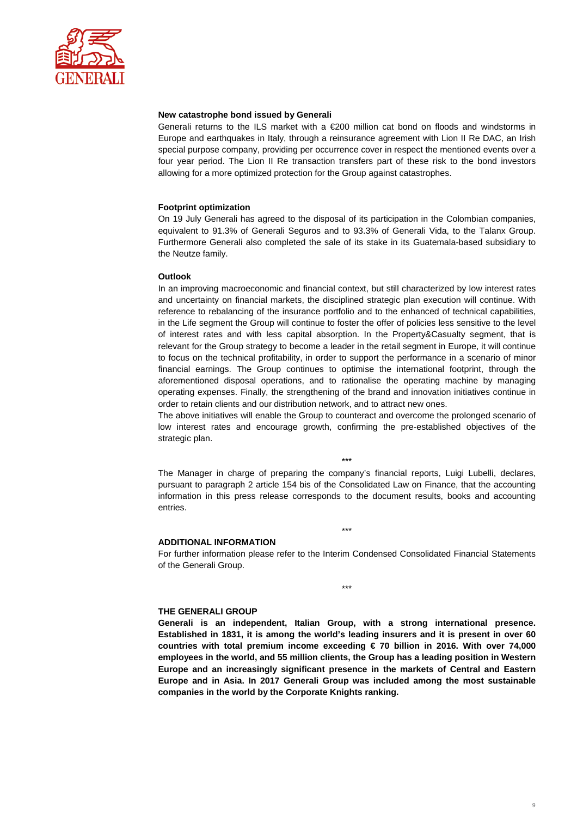

#### **New catastrophe bond issued by Generali**

Generali returns to the ILS market with a  $E$ 200 million cat bond on floods and windstorms in Europe and earthquakes in Italy, through a reinsurance agreement with Lion II Re DAC, an Irish special purpose company, providing per occurrence cover in respect the mentioned events over a four year period. The Lion II Re transaction transfers part of these risk to the bond investors allowing for a more optimized protection for the Group against catastrophes.

#### **Footprint optimization**

On 19 July Generali has agreed to the disposal of its participation in the Colombian companies, equivalent to 91.3% of Generali Seguros and to 93.3% of Generali Vida, to the Talanx Group. Furthermore Generali also completed the sale of its stake in its Guatemala-based subsidiary to the Neutze family.

#### **Outlook**

In an improving macroeconomic and financial context, but still characterized by low interest rates and uncertainty on financial markets, the disciplined strategic plan execution will continue. With reference to rebalancing of the insurance portfolio and to the enhanced of technical capabilities, in the Life segment the Group will continue to foster the offer of policies less sensitive to the level of interest rates and with less capital absorption. In the Property&Casualty segment, that is relevant for the Group strategy to become a leader in the retail segment in Europe, it will continue to focus on the technical profitability, in order to support the performance in a scenario of minor financial earnings. The Group continues to optimise the international footprint, through the aforementioned disposal operations, and to rationalise the operating machine by managing operating expenses. Finally, the strengthening of the brand and innovation initiatives continue in order to retain clients and our distribution network, and to attract new ones.

The above initiatives will enable the Group to counteract and overcome the prolonged scenario of low interest rates and encourage growth, confirming the pre-established objectives of the strategic plan.

The Manager in charge of preparing the company's financial reports, Luigi Lubelli, declares, pursuant to paragraph 2 article 154 bis of the Consolidated Law on Finance, that the accounting information in this press release corresponds to the document results, books and accounting entries.

\*\*\*

#### **ADDITIONAL INFORMATION**

For further information please refer to the Interim Condensed Consolidated Financial Statements of the Generali Group.

\*\*\*

\*\*\*

#### **THE GENERALI GROUP**

**Generali is an independent, Italian Group, with a strong international presence. Established in 1831, it is among the world's leading insurers and it is present in over 60 countries with total premium income exceeding € 70 billion in 2016. With over 74,000 employees in the world, and 55 million clients, the Group has a leading position in Western Europe and an increasingly significant presence in the markets of Central and Eastern Europe and in Asia. In 2017 Generali Group was included among the most sustainable companies in the world by the Corporate Knights ranking.**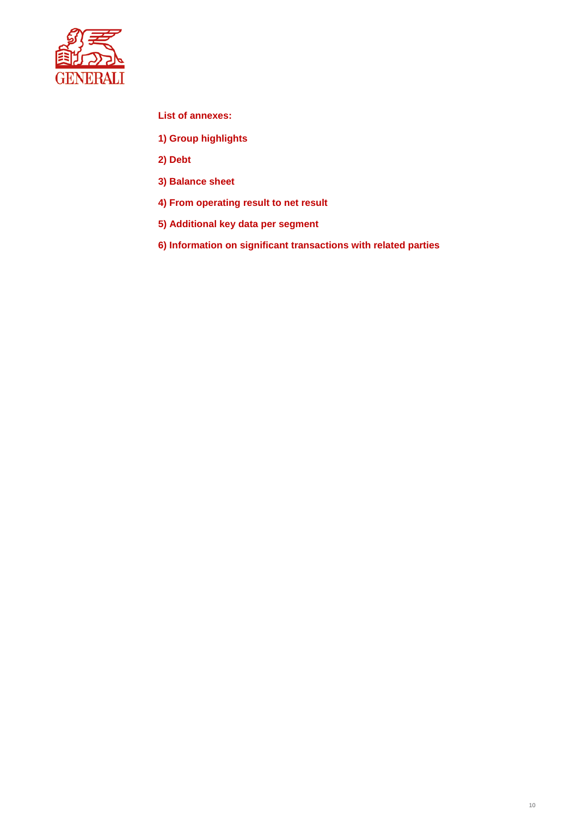

**List of annexes:** 

- **1) Group highlights**
- **2) Debt**
- **3) Balance sheet**
- **4) From operating result to net result**
- **5) Additional key data per segment**
- **6) Information on significant transactions with related parties**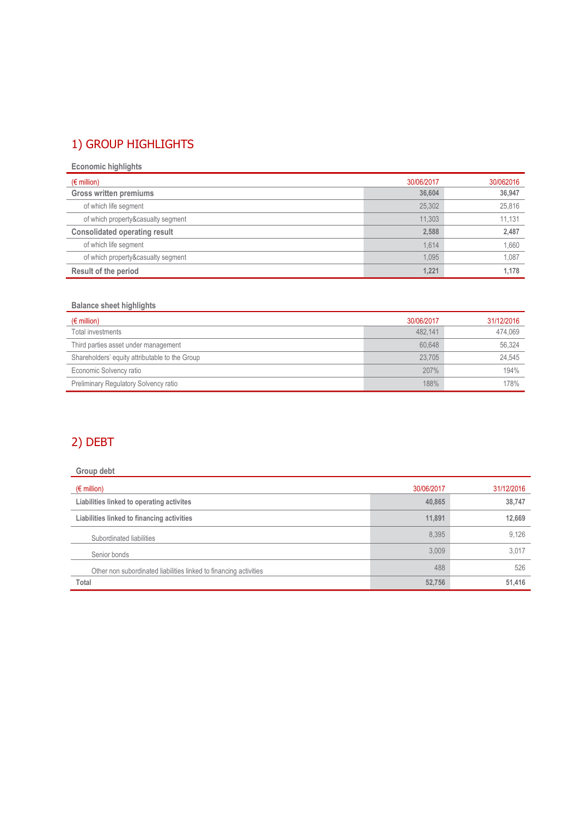## 1) GROUP HIGHLIGHTS

**Economic highlights**

| $(\epsilon$ million)                 | 30/06/2017 | 30/062016 |
|--------------------------------------|------------|-----------|
| <b>Gross written premiums</b>        | 36,604     | 36,947    |
| of which life segment                | 25,302     | 25,816    |
| of which property&casualty segment   | 11.303     | 11.131    |
| <b>Consolidated operating result</b> | 2.588      | 2,487     |
| of which life segment                | 1.614      | 1,660     |
| of which property&casualty segment   | 1.095      | 1,087     |
| Result of the period                 | 1,221      | 1.178     |

## **Balance sheet highlights**

| $(\epsilon$ million)                           | 30/06/2017 | 31/12/2016 |
|------------------------------------------------|------------|------------|
| Total investments                              | 482.141    | 474.069    |
| Third parties asset under management           | 60.648     | 56,324     |
| Shareholders' equity attributable to the Group | 23.705     | 24,545     |
| Economic Solvency ratio                        | 207%       | 194%       |
| Preliminary Regulatory Solvency ratio          | 188%       | 178%       |

## 2) DEBT

| Group debt                                                        |            |            |
|-------------------------------------------------------------------|------------|------------|
| $(\epsilon$ million)                                              | 30/06/2017 | 31/12/2016 |
| Liabilities linked to operating activites                         | 40,865     | 38,747     |
| Liabilities linked to financing activities                        | 11,891     | 12,669     |
| Subordinated liabilities                                          | 8.395      | 9,126      |
| Senior bonds                                                      | 3.009      | 3,017      |
| Other non subordinated liabilities linked to financing activities | 488        | 526        |
| Total                                                             | 52,756     | 51,416     |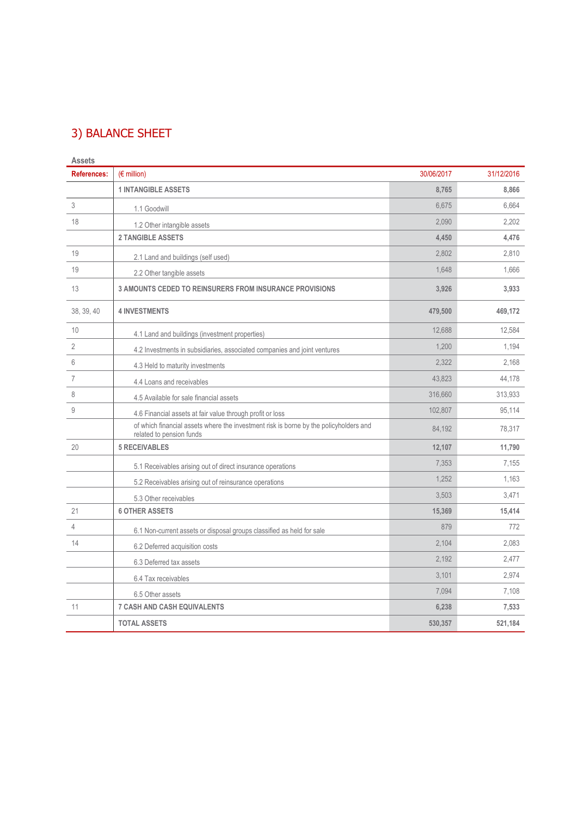## 3) BALANCE SHEET

| <b>Assets</b>      |                                                                                                                   |            |            |
|--------------------|-------------------------------------------------------------------------------------------------------------------|------------|------------|
| <b>References:</b> | $(E \text{ million})$                                                                                             | 30/06/2017 | 31/12/2016 |
|                    | <b>1 INTANGIBLE ASSETS</b>                                                                                        | 8,765      | 8,866      |
| 3                  | 1.1 Goodwill                                                                                                      | 6,675      | 6,664      |
| 18                 | 1.2 Other intangible assets                                                                                       | 2,090      | 2,202      |
|                    | <b>2 TANGIBLE ASSETS</b>                                                                                          | 4,450      | 4,476      |
| 19                 | 2.1 Land and buildings (self used)                                                                                | 2,802      | 2,810      |
| 19                 | 2.2 Other tangible assets                                                                                         | 1,648      | 1,666      |
| 13                 | <b>3 AMOUNTS CEDED TO REINSURERS FROM INSURANCE PROVISIONS</b>                                                    | 3,926      | 3,933      |
| 38, 39, 40         | <b>4 INVESTMENTS</b>                                                                                              | 479,500    | 469,172    |
| 10                 | 4.1 Land and buildings (investment properties)                                                                    | 12,688     | 12,584     |
| $\overline{2}$     | 4.2 Investments in subsidiaries, associated companies and joint ventures                                          | 1,200      | 1,194      |
| 6                  | 4.3 Held to maturity investments                                                                                  | 2,322      | 2,168      |
| $\overline{7}$     | 4.4 Loans and receivables                                                                                         | 43.823     | 44,178     |
| 8                  | 4.5 Available for sale financial assets                                                                           | 316,660    | 313,933    |
| $\mathsf 9$        | 4.6 Financial assets at fair value through profit or loss                                                         | 102,807    | 95,114     |
|                    | of which financial assets where the investment risk is borne by the policyholders and<br>related to pension funds | 84,192     | 78,317     |
| 20                 | <b>5 RECEIVABLES</b>                                                                                              | 12,107     | 11,790     |
|                    | 5.1 Receivables arising out of direct insurance operations                                                        | 7,353      | 7,155      |
|                    | 5.2 Receivables arising out of reinsurance operations                                                             | 1,252      | 1,163      |
|                    | 5.3 Other receivables                                                                                             | 3,503      | 3,471      |
| 21                 | <b>6 OTHER ASSETS</b>                                                                                             | 15,369     | 15,414     |
| $\overline{4}$     | 6.1 Non-current assets or disposal groups classified as held for sale                                             | 879        | 772        |
| 14                 | 6.2 Deferred acquisition costs                                                                                    | 2,104      | 2,083      |
|                    | 6.3 Deferred tax assets                                                                                           | 2,192      | 2,477      |
|                    | 6.4 Tax receivables                                                                                               | 3,101      | 2,974      |
|                    | 6.5 Other assets                                                                                                  | 7,094      | 7,108      |
| 11                 | <b>7 CASH AND CASH EQUIVALENTS</b>                                                                                | 6,238      | 7,533      |
|                    | <b>TOTAL ASSETS</b>                                                                                               | 530,357    | 521,184    |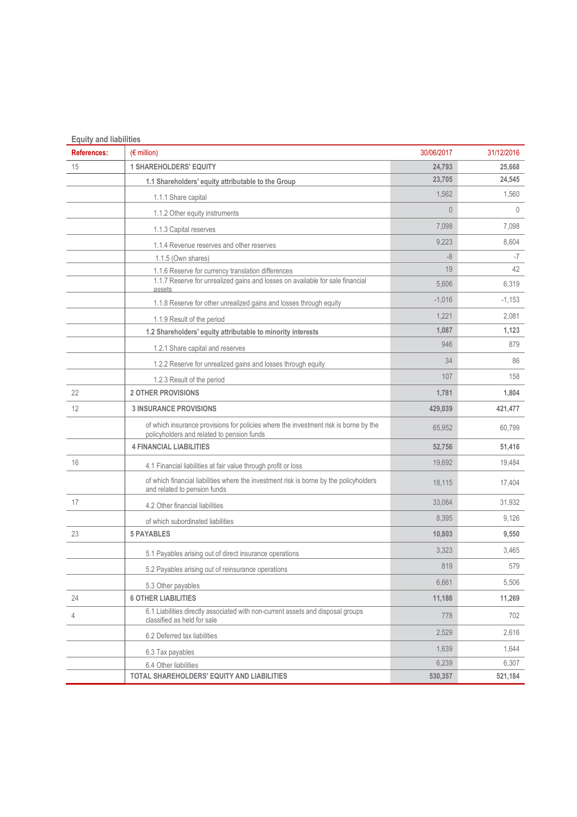| <b>Equity and liabilities</b><br><b>References:</b> | $(\epsilon$ million)                                                                                                               | 30/06/2017 | 31/12/2016   |
|-----------------------------------------------------|------------------------------------------------------------------------------------------------------------------------------------|------------|--------------|
| 15                                                  | <b>1 SHAREHOLDERS' EQUITY</b>                                                                                                      | 24,793     | 25,668       |
|                                                     | 1.1 Shareholders' equity attributable to the Group                                                                                 | 23,705     | 24,545       |
|                                                     |                                                                                                                                    | 1,562      | 1,560        |
|                                                     | 1.1.1 Share capital                                                                                                                | $\theta$   | $\mathbf{0}$ |
|                                                     | 1.1.2 Other equity instruments                                                                                                     |            |              |
|                                                     | 1.1.3 Capital reserves                                                                                                             | 7,098      | 7,098        |
|                                                     | 1.1.4 Revenue reserves and other reserves                                                                                          | 9,223      | 8,604        |
|                                                     | 1.1.5 (Own shares)                                                                                                                 | $-8$       | -7           |
|                                                     | 1.1.6 Reserve for currency translation differences                                                                                 | 19         | 42           |
|                                                     | 1.1.7 Reserve for unrealized gains and losses on available for sale financial<br>assets                                            | 5,606      | 6,319        |
|                                                     | 1.1.8 Reserve for other unrealized gains and losses through equity                                                                 | $-1,016$   | $-1,153$     |
|                                                     | 1.1.9 Result of the period                                                                                                         | 1,221      | 2,081        |
|                                                     | 1.2 Shareholders' equity attributable to minority interests                                                                        | 1,087      | 1,123        |
|                                                     | 1.2.1 Share capital and reserves                                                                                                   | 946        | 879          |
|                                                     | 1.2.2 Reserve for unrealized gains and losses through equity                                                                       | 34         | 86           |
|                                                     | 1.2.3 Result of the period                                                                                                         | 107        | 158          |
| 22                                                  | <b>2 OTHER PROVISIONS</b>                                                                                                          | 1,781      | 1,804        |
| 12                                                  | <b>3 INSURANCE PROVISIONS</b>                                                                                                      | 429,039    | 421,477      |
|                                                     | of which insurance provisions for policies where the investment risk is borne by the<br>policyholders and related to pension funds | 65,952     | 60,799       |
|                                                     | <b>4 FINANCIAL LIABILITIES</b>                                                                                                     | 52,756     | 51,416       |
| 16                                                  | 4.1 Financial liabilities at fair value through profit or loss                                                                     | 19,692     | 19,484       |
|                                                     | of which financial liabilities where the investment risk is borne by the policyholders<br>and related to pension funds             | 18,115     | 17,404       |
| 17                                                  | 4.2 Other financial liabilities                                                                                                    | 33,064     | 31,932       |
|                                                     | of which subordinated liabilities                                                                                                  | 8,395      | 9,126        |
| 23                                                  | <b>5 PAYABLES</b>                                                                                                                  | 10,803     | 9,550        |
|                                                     | 5.1 Payables arising out of direct insurance operations                                                                            | 3,323      | 3,465        |
|                                                     | 5.2 Payables arising out of reinsurance operations                                                                                 | 819        | 579          |
|                                                     | 5.3 Other payables                                                                                                                 | 6,661      | 5,506        |
| 24                                                  | <b>6 OTHER LIABILITIES</b>                                                                                                         | 11,186     | 11,269       |
| 4                                                   | 6.1 Liabilities directly associated with non-current assets and disposal groups<br>classified as held for sale                     | 778        | 702          |
|                                                     | 6.2 Deferred tax liabilities                                                                                                       | 2,529      | 2,616        |
|                                                     | 6.3 Tax payables                                                                                                                   | 1,639      | 1,644        |
|                                                     | 6.4 Other liabilities                                                                                                              | 6,239      | 6,307        |
|                                                     | TOTAL SHAREHOLDERS' EQUITY AND LIABILITIES                                                                                         | 530,357    | 521,184      |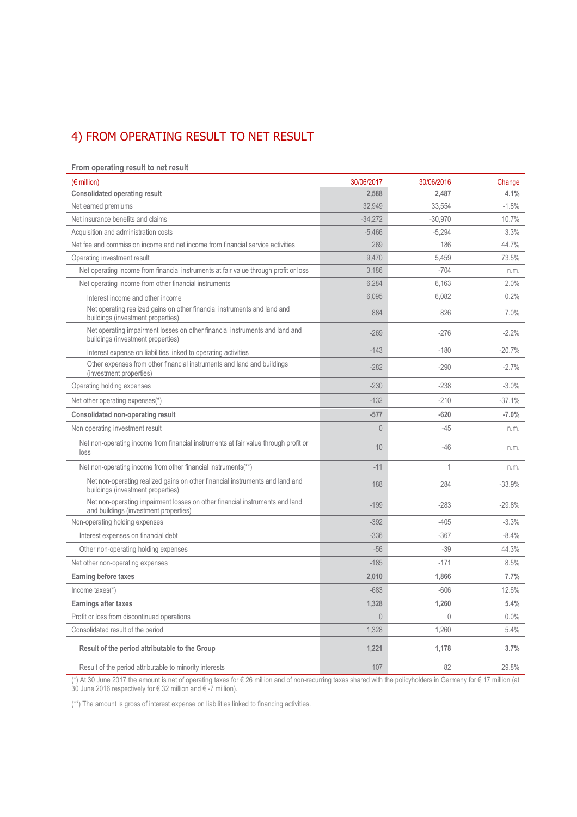# 4) FROM OPERATING RESULT TO NET RESULT

#### **From operating result to net result**

| $(\epsilon$ million)                                                                                                 | 30/06/2017     | 30/06/2016   | Change   |
|----------------------------------------------------------------------------------------------------------------------|----------------|--------------|----------|
| <b>Consolidated operating result</b>                                                                                 | 2.588          | 2,487        | 4.1%     |
| Net earned premiums                                                                                                  | 32,949         | 33,554       | $-1.8%$  |
| Net insurance benefits and claims                                                                                    | $-34,272$      | $-30,970$    | 10.7%    |
| Acquisition and administration costs                                                                                 | $-5,466$       | $-5,294$     | 3.3%     |
| Net fee and commission income and net income from financial service activities                                       | 269            | 186          | 44.7%    |
| Operating investment result                                                                                          | 9,470          | 5,459        | 73.5%    |
| Net operating income from financial instruments at fair value through profit or loss                                 | 3.186          | $-704$       | n.m.     |
| Net operating income from other financial instruments                                                                | 6,284          | 6,163        | 2.0%     |
| Interest income and other income                                                                                     | 6,095          | 6,082        | 0.2%     |
| Net operating realized gains on other financial instruments and land and<br>buildings (investment properties)        | 884            | 826          | 7.0%     |
| Net operating impairment losses on other financial instruments and land and<br>buildings (investment properties)     | $-269$         | $-276$       | $-2.2%$  |
| Interest expense on liabilities linked to operating activities                                                       | $-143$         | $-180$       | $-20.7%$ |
| Other expenses from other financial instruments and land and buildings<br>(investment properties)                    | $-282$         | $-290$       | $-2.7%$  |
| Operating holding expenses                                                                                           | $-230$         | $-238$       | $-3.0%$  |
| Net other operating expenses(*)                                                                                      | $-132$         | $-210$       | $-37.1%$ |
| <b>Consolidated non-operating result</b>                                                                             | $-577$         | $-620$       | $-7.0%$  |
| Non operating investment result                                                                                      | $\theta$       | $-45$        | n.m.     |
| Net non-operating income from financial instruments at fair value through profit or<br>loss                          | 10             | $-46$        | n.m.     |
| Net non-operating income from other financial instruments(**)                                                        | $-11$          | 1            | n.m.     |
| Net non-operating realized gains on other financial instruments and land and<br>buildings (investment properties)    | 188            | 284          | $-33.9%$ |
| Net non-operating impairment losses on other financial instruments and land<br>and buildings (investment properties) | $-199$         | $-283$       | $-29.8%$ |
| Non-operating holding expenses                                                                                       | $-392$         | $-405$       | $-3.3%$  |
| Interest expenses on financial debt                                                                                  | $-336$         | $-367$       | $-8.4%$  |
| Other non-operating holding expenses                                                                                 | $-56$          | $-39$        | 44.3%    |
| Net other non-operating expenses                                                                                     | $-185$         | $-171$       | 8.5%     |
| <b>Earning before taxes</b>                                                                                          | 2,010          | 1,866        | 7.7%     |
| Income taxes(*)                                                                                                      | $-683$         | $-606$       | 12.6%    |
| Earnings after taxes                                                                                                 | 1,328          | 1,260        | 5.4%     |
| Profit or loss from discontinued operations                                                                          | $\overline{0}$ | $\mathbf{0}$ | $0.0\%$  |
| Consolidated result of the period                                                                                    | 1,328          | 1,260        | 5.4%     |
| Result of the period attributable to the Group                                                                       | 1,221          | 1,178        | 3.7%     |
| Result of the period attributable to minority interests                                                              | 107            | 82           | 29.8%    |

(\*) At 30 June 2017 the amount is net of operating taxes for € 26 million and of non-recurring taxes shared with the policyholders in Germany for € 17 million (at 30 June 2016 respectively for € 32 million and € -7 million).

(\*\*) The amount is gross of interest expense on liabilities linked to financing activities.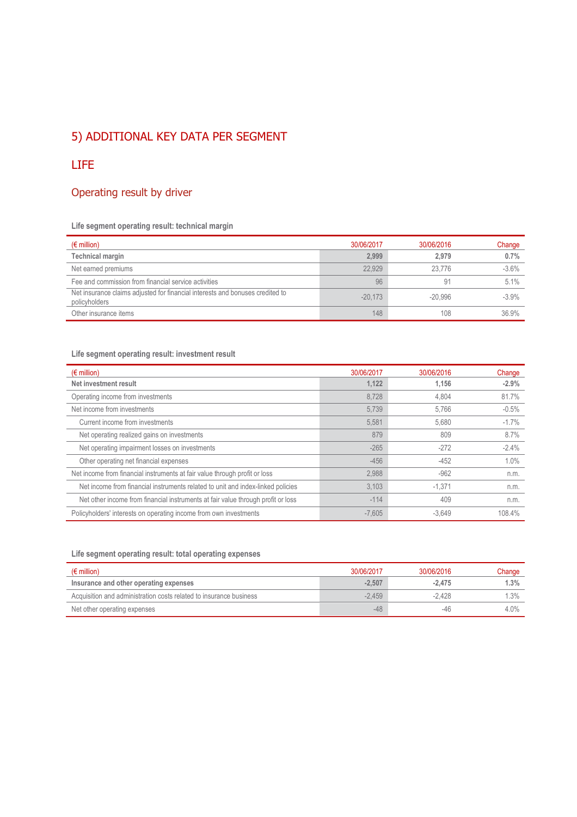## 5) ADDITIONAL KEY DATA PER SEGMENT

## LIFE

## Operating result by driver

## **Life segment operating result: technical margin**

| $(\epsilon$ million)                                                                           | 30/06/2017 | 30/06/2016 | Change  |
|------------------------------------------------------------------------------------------------|------------|------------|---------|
| <b>Technical margin</b>                                                                        | 2,999      | 2.979      | 0.7%    |
| Net earned premiums                                                                            | 22.929     | 23.776     | $-3.6%$ |
| Fee and commission from financial service activities                                           | 96         | 91         | 5.1%    |
| Net insurance claims adjusted for financial interests and bonuses credited to<br>policyholders | $-20.173$  | $-20.996$  | $-3.9%$ |
| Other insurance items                                                                          | 148        | 108        | 36.9%   |

### **Life segment operating result: investment result**

| $(\epsilon$ million)                                                             | 30/06/2017 | 30/06/2016 | Change  |
|----------------------------------------------------------------------------------|------------|------------|---------|
| Net investment result                                                            | 1,122      | 1.156      | $-2.9%$ |
| Operating income from investments                                                | 8.728      | 4,804      | 81.7%   |
| Net income from investments                                                      | 5,739      | 5.766      | $-0.5%$ |
| Current income from investments                                                  | 5,581      | 5,680      | $-1.7%$ |
| Net operating realized gains on investments                                      | 879        | 809        | 8.7%    |
| Net operating impairment losses on investments                                   | $-265$     | $-272$     | $-2.4%$ |
| Other operating net financial expenses                                           | $-456$     | $-452$     | 1.0%    |
| Net income from financial instruments at fair value through profit or loss       | 2.988      | $-962$     | n.m.    |
| Net income from financial instruments related to unit and index-linked policies  | 3,103      | $-1,371$   | n.m.    |
| Net other income from financial instruments at fair value through profit or loss | $-114$     | 409        | n.m.    |
| Policyholders' interests on operating income from own investments                | $-7.605$   | $-3.649$   | 108.4%  |

### **Life segment operating result: total operating expenses**

| $(\epsilon$ million)                                               | 30/06/2017 | 30/06/2016 | Change |
|--------------------------------------------------------------------|------------|------------|--------|
| Insurance and other operating expenses                             | $-2.507$   | $-2.475$   | 1.3%   |
| Acquisition and administration costs related to insurance business | $-2.459$   | $-2.428$   | 1.3%   |
| Net other operating expenses                                       | $-48$      | -46        | 4.0%   |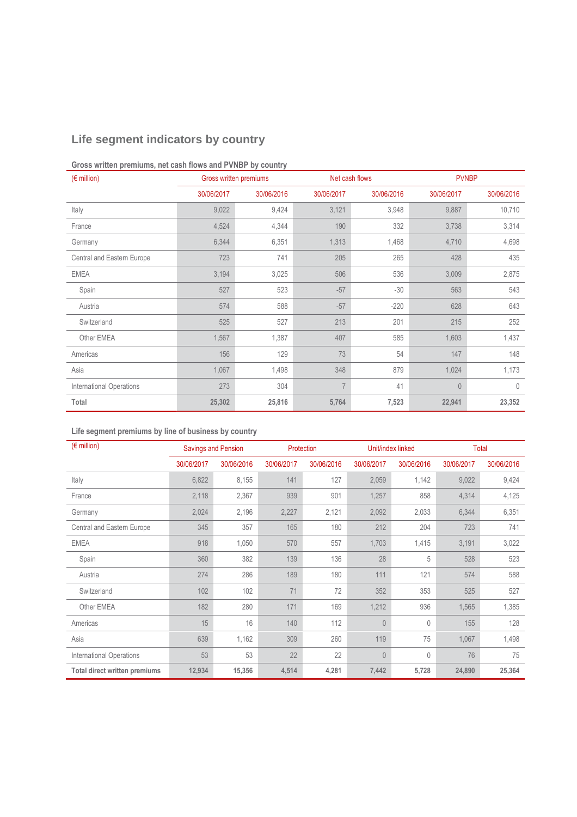## **Life segment indicators by country**

## **Gross written premiums, net cash flows and PVNBP by country**

| $(E \text{ million})$           |            | Gross written premiums<br>Net cash flows |                |            |                | <b>PVNBP</b> |
|---------------------------------|------------|------------------------------------------|----------------|------------|----------------|--------------|
|                                 | 30/06/2017 | 30/06/2016                               | 30/06/2017     | 30/06/2016 | 30/06/2017     | 30/06/2016   |
| Italy                           | 9,022      | 9,424                                    | 3,121          | 3,948      | 9,887          | 10,710       |
| France                          | 4,524      | 4,344                                    | 190            | 332        | 3,738          | 3,314        |
| Germany                         | 6,344      | 6,351                                    | 1,313          | 1,468      | 4,710          | 4,698        |
| Central and Eastern Europe      | 723        | 741                                      | 205            | 265        | 428            | 435          |
| <b>EMEA</b>                     | 3,194      | 3,025                                    | 506            | 536        | 3,009          | 2,875        |
| Spain                           | 527        | 523                                      | $-57$          | $-30$      | 563            | 543          |
| Austria                         | 574        | 588                                      | $-57$          | $-220$     | 628            | 643          |
| Switzerland                     | 525        | 527                                      | 213            | 201        | 215            | 252          |
| Other EMEA                      | 1,567      | 1,387                                    | 407            | 585        | 1,603          | 1,437        |
| Americas                        | 156        | 129                                      | 73             | 54         | 147            | 148          |
| Asia                            | 1,067      | 1,498                                    | 348            | 879        | 1,024          | 1,173        |
| <b>International Operations</b> | 273        | 304                                      | $\overline{7}$ | 41         | $\overline{0}$ | $\theta$     |
| Total                           | 25,302     | 25,816                                   | 5,764          | 7,523      | 22,941         | 23,352       |

## **Life segment premiums by line of business by country**

| $(E \text{ million})$           | <b>Savings and Pension</b> |            | Protection |            | Unit/index linked |            | <b>Total</b> |            |  |
|---------------------------------|----------------------------|------------|------------|------------|-------------------|------------|--------------|------------|--|
|                                 | 30/06/2017                 | 30/06/2016 | 30/06/2017 | 30/06/2016 | 30/06/2017        | 30/06/2016 | 30/06/2017   | 30/06/2016 |  |
| Italy                           | 6,822                      | 8,155      | 141        | 127        | 2,059             | 1,142      | 9,022        | 9,424      |  |
| France                          | 2,118                      | 2,367      | 939        | 901        | 1,257             | 858        | 4,314        | 4,125      |  |
| Germany                         | 2,024                      | 2,196      | 2,227      | 2,121      | 2,092             | 2,033      | 6,344        | 6,351      |  |
| Central and Eastern Europe      | 345                        | 357        | 165        | 180        | 212               | 204        | 723          | 741        |  |
| <b>EMEA</b>                     | 918                        | 1,050      | 570        | 557        | 1,703             | 1,415      | 3,191        | 3,022      |  |
| Spain                           | 360                        | 382        | 139        | 136        | 28                | 5          | 528          | 523        |  |
| Austria                         | 274                        | 286        | 189        | 180        | 111               | 121        | 574          | 588        |  |
| Switzerland                     | 102                        | 102        | 71         | 72         | 352               | 353        | 525          | 527        |  |
| Other EMEA                      | 182                        | 280        | 171        | 169        | 1,212             | 936        | 1,565        | 1,385      |  |
| Americas                        | 15                         | 16         | 140        | 112        | $\mathbf{0}$      | 0          | 155          | 128        |  |
| Asia                            | 639                        | 1,162      | 309        | 260        | 119               | 75         | 1,067        | 1,498      |  |
| <b>International Operations</b> | 53                         | 53         | 22         | 22         | $\theta$          | 0          | 76           | 75         |  |
| Total direct written premiums   | 12,934                     | 15,356     | 4,514      | 4,281      | 7,442             | 5,728      | 24,890       | 25,364     |  |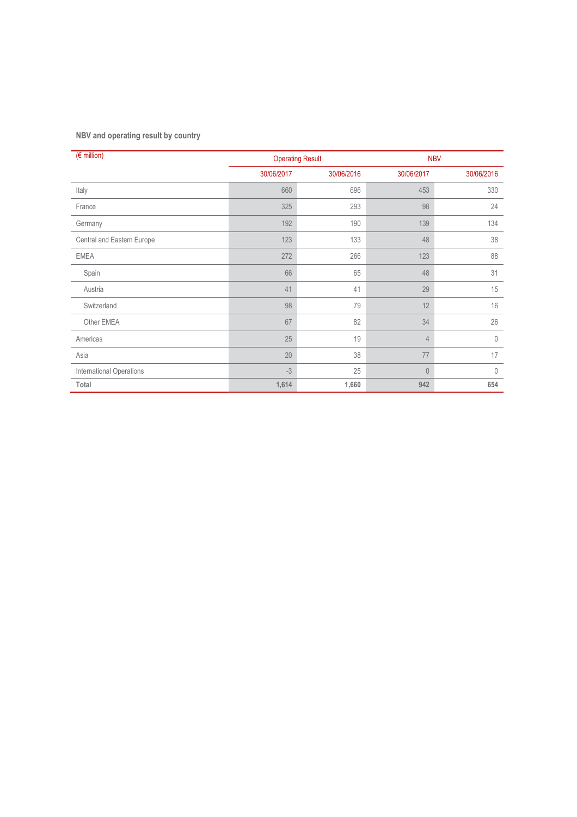## **NBV and operating result by country**

| $(F \in \text{million})$   |            | <b>Operating Result</b> |                | <b>NBV</b>  |
|----------------------------|------------|-------------------------|----------------|-------------|
|                            | 30/06/2017 | 30/06/2016              | 30/06/2017     | 30/06/2016  |
| Italy                      | 660        | 696                     | 453            | 330         |
| France                     | 325        | 293                     | 98             | 24          |
| Germany                    | 192        | 190                     | 139            | 134         |
| Central and Eastern Europe | 123        | 133                     | 48             | 38          |
| <b>EMEA</b>                | 272        | 266                     | 123            | 88          |
| Spain                      | 66         | 65                      | 48             | 31          |
| Austria                    | 41         | 41                      | 29             | 15          |
| Switzerland                | 98         | 79                      | 12             | 16          |
| Other EMEA                 | 67         | 82                      | 34             | 26          |
| Americas                   | 25         | 19                      | $\overline{4}$ | $\theta$    |
| Asia                       | 20         | 38                      | 77             | 17          |
| International Operations   | $-3$       | 25                      | $\theta$       | $\mathbf 0$ |
| Total                      | 1,614      | 1,660                   | 942            | 654         |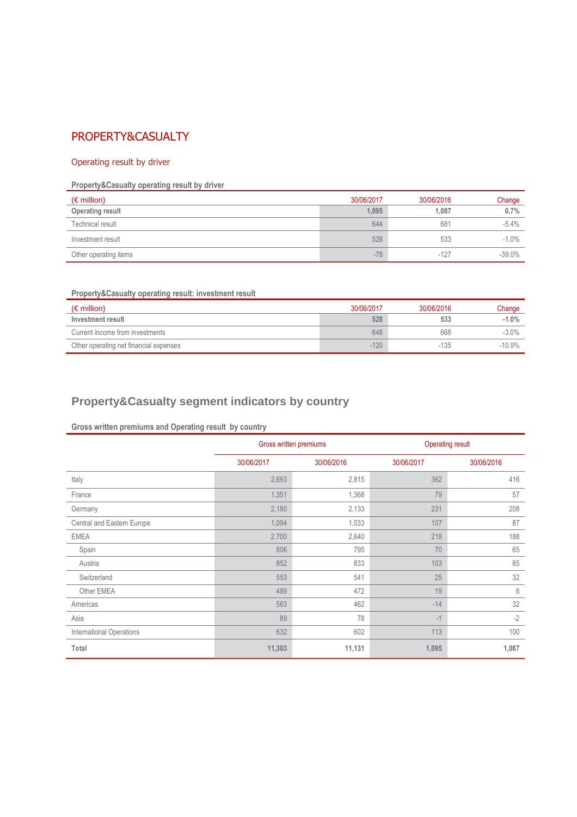## PROPERTY&CASUALTY

### Operating result by driver

## **Property&Casualty operating result by driver**

| $(\epsilon$ million)  | 30/06/2017 | 30/06/2016 | Change   |
|-----------------------|------------|------------|----------|
| Operating result      | 1,095      | 1.087      | 0.7%     |
| Technical result      | 644        | 681        | $-5.4%$  |
| Investment result     | 528        | 533        | $-1.0%$  |
| Other operating items | $-78$      | $-127$     | $-39.0%$ |

## **Property&Casualty operating result: investment result**

| $(\epsilon$ million)                   | 30/06/2017 | 30/06/2016 | Change   |
|----------------------------------------|------------|------------|----------|
| Investment result                      | 528        | 533        | $-1.0%$  |
| Current income from investments        | 648        | 668        | $-3.0%$  |
| Other operating net financial expenses | $-120$     | $-135$     | $-10.9%$ |

## **Property&Casualty segment indicators by country**

## **Gross written premiums and Operating result by country**

|                                 |            | Gross written premiums | <b>Operating result</b> |            |  |  |
|---------------------------------|------------|------------------------|-------------------------|------------|--|--|
|                                 | 30/06/2017 | 30/06/2016             | 30/06/2017              | 30/06/2016 |  |  |
| Italy                           | 2,693      | 2,815                  | 362                     | 416        |  |  |
| France                          | 1,351      | 1,368                  | 79                      | 57         |  |  |
| Germany                         | 2,180      | 2,133                  | 231                     | 208        |  |  |
| Central and Eastern Europe      | 1,094      | 1,033                  | 107                     | 87         |  |  |
| <b>EMEA</b>                     | 2,700      | 2,640                  | 218                     | 188        |  |  |
| Spain                           | 806        | 795                    | 70                      | 65         |  |  |
| Austria                         | 852        | 833                    | 103                     | 85         |  |  |
| Switzerland                     | 553        | 541                    | 25                      | 32         |  |  |
| Other EMEA                      | 489        | 472                    | 19                      | 6          |  |  |
| Americas                        | 563        | 462                    | $-14$                   | 32         |  |  |
| Asia                            | 89         | 78                     | $-1$                    | $-2$       |  |  |
| <b>International Operations</b> | 632        | 602                    | 113                     | 100        |  |  |
| Total                           | 11,303     | 11,131                 | 1,095                   | 1,087      |  |  |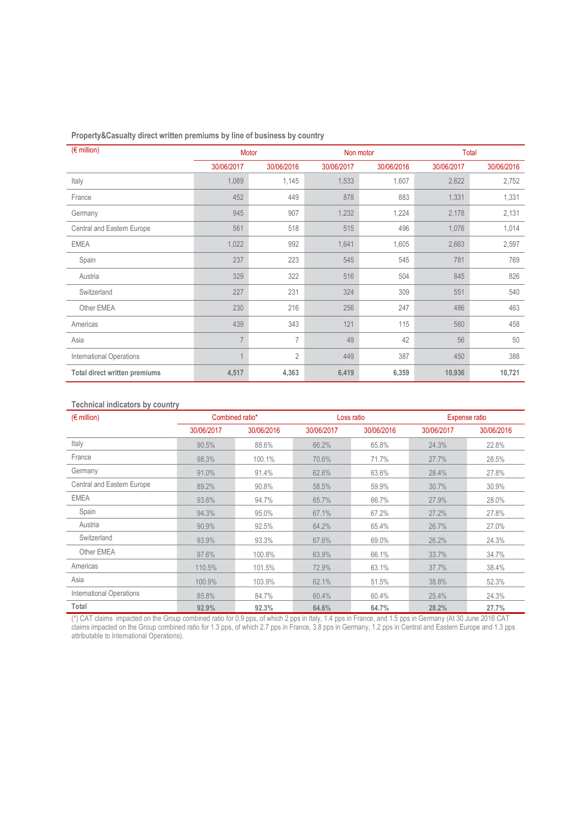| Property&Casualty direct written premiums by line of business by country |  |  |  |
|--------------------------------------------------------------------------|--|--|--|
|                                                                          |  |  |  |

| $(E \text{ million})$                |                | Motor          |            | Non motor  | Total      |            |  |
|--------------------------------------|----------------|----------------|------------|------------|------------|------------|--|
|                                      | 30/06/2017     | 30/06/2016     | 30/06/2017 | 30/06/2016 | 30/06/2017 | 30/06/2016 |  |
| Italy                                | 1,089          | 1,145          | 1,533      | 1,607      | 2,622      | 2,752      |  |
| France                               | 452            | 449            | 878        | 883        | 1,331      | 1,331      |  |
| Germany                              | 945            | 907            | 1,232      | 1,224      | 2,178      | 2,131      |  |
| Central and Eastern Europe           | 561            | 518            | 515        | 496        | 1,076      | 1,014      |  |
| <b>EMEA</b>                          | 1,022          | 992            | 1,641      | 1,605      | 2,663      | 2,597      |  |
| Spain                                | 237            | 223            | 545        | 545        | 781        | 769        |  |
| Austria                              | 329            | 322            | 516        | 504        | 845        | 826        |  |
| Switzerland                          | 227            | 231            | 324        | 309        | 551        | 540        |  |
| Other EMEA                           | 230            | 216            | 256        | 247        | 486        | 463        |  |
| Americas                             | 439            | 343            | 121        | 115        | 560        | 458        |  |
| Asia                                 | $\overline{7}$ | $\overline{7}$ | 49         | 42         | 56         | 50         |  |
| <b>International Operations</b>      | $\overline{1}$ | $\overline{2}$ | 449        | 387        | 450        | 388        |  |
| <b>Total direct written premiums</b> | 4,517          | 4,363          | 6,419      | 6,359      | 10,936     | 10,721     |  |

### **Technical indicators by country**

| $(\epsilon$ million)            | Combined ratio* |            |            | Loss ratio | Expense ratio |            |  |
|---------------------------------|-----------------|------------|------------|------------|---------------|------------|--|
|                                 | 30/06/2017      | 30/06/2016 | 30/06/2017 | 30/06/2016 | 30/06/2017    | 30/06/2016 |  |
| Italy                           | 90.5%           | 88.6%      | 66.2%      | 65.8%      | 24.3%         | 22.8%      |  |
| France                          | 98.3%           | 100.1%     | 70.6%      | 71.7%      | 27.7%         | 28.5%      |  |
| Germany                         | 91.0%           | 91.4%      | 62.6%      | 63.6%      | 28.4%         | 27.8%      |  |
| Central and Eastern Europe      | 89.2%           | 90.8%      | 58.5%      | 59.9%      | 30.7%         | 30.9%      |  |
| <b>EMEA</b>                     | 93.6%           | 94.7%      | 65.7%      | 66.7%      | 27.9%         | 28.0%      |  |
| Spain                           | 94.3%           | 95.0%      | 67.1%      | 67.2%      | 27.2%         | 27.8%      |  |
| Austria                         | 90.9%           | 92.5%      | 64.2%      | 65.4%      | 26.7%         | 27.0%      |  |
| Switzerland                     | 93.9%           | 93.3%      | 67.6%      | 69.0%      | 26.2%         | 24.3%      |  |
| Other EMEA                      | 97.6%           | 100.8%     | 63.9%      | 66.1%      | 33.7%         | 34.7%      |  |
| Americas                        | 110.5%          | 101.5%     | 72.9%      | 63.1%      | 37.7%         | 38.4%      |  |
| Asia                            | 100.9%          | 103.9%     | 62.1%      | 51.5%      | 38.8%         | 52.3%      |  |
| <b>International Operations</b> | 85.8%           | 84.7%      | 60.4%      | 60.4%      | 25.4%         | 24.3%      |  |
| Total                           | 92.9%           | 92.3%      | 64.6%      | 64.7%      | 28.2%         | 27.7%      |  |

(\*) CAT claims impacted on the Group combined ratio for 0.9 pps, of which 2 pps in Italy, 1.4 pps in France, and 1.5 pps in Germany (At 30 June 2016 CAT claims impacted on the Group combined ratio for 1.3 pps, of which 2.7 pps in France, 3.8 pps in Germany, 1.2 pps in Central and Eastern Europe and 1.3 pps attributable to International Operations).